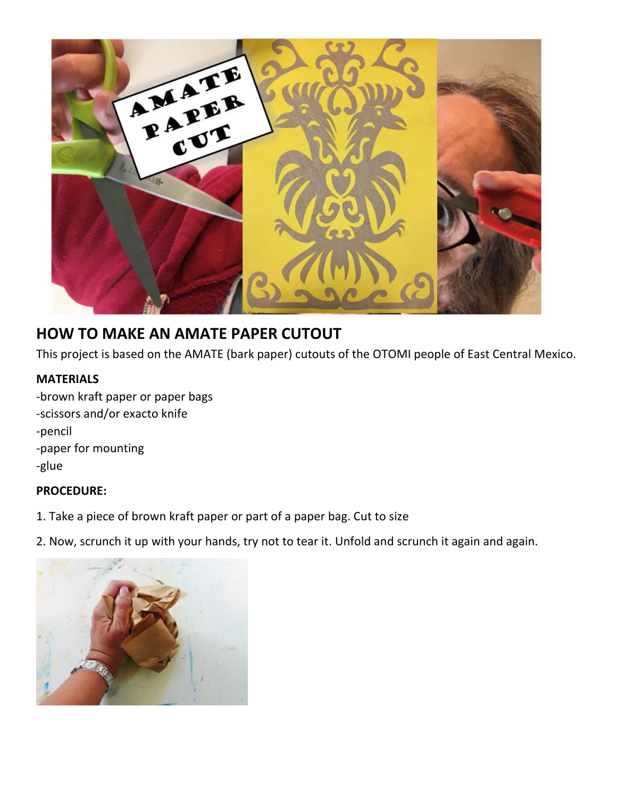

## **HOW TO MAKE AN AMATE PAPER CUTOUT**

This project is based on the AMATE (bark paper) cutouts of the OTOMI people of East Central Mexico.

## **MATERIALS**

-brown kraft paper or paper bags -scissors and/or exacto knife -pencil -paper for mounting -glue

## **PROCEDURE:**

- 1. Take a piece of brown kraft paper or part of a paper bag. Cut to size
- 2. Now, scrunch it up with your hands, try not to tear it. Unfold and scrunch it again and again.

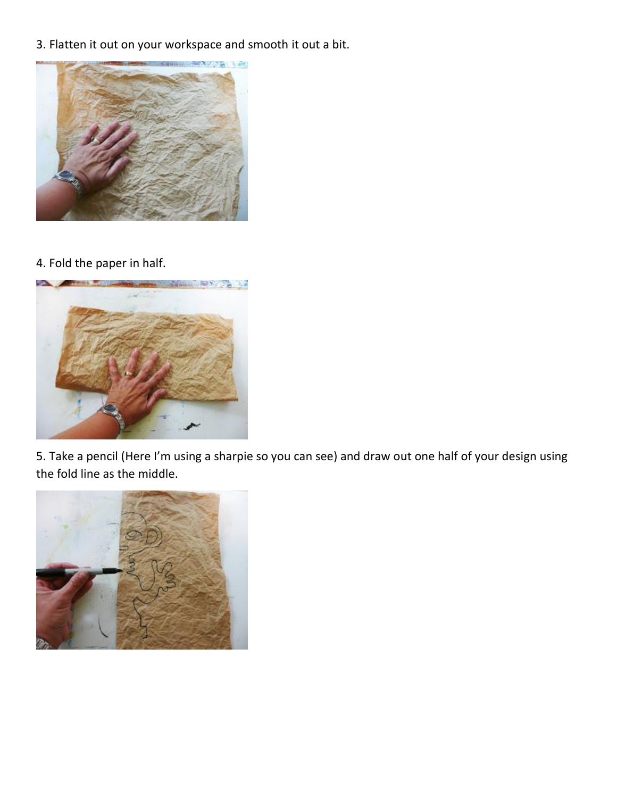3. Flatten it out on your workspace and smooth it out a bit.



4. Fold the paper in half.



5. Take a pencil (Here I'm using a sharpie so you can see) and draw out one half of your design using the fold line as the middle.